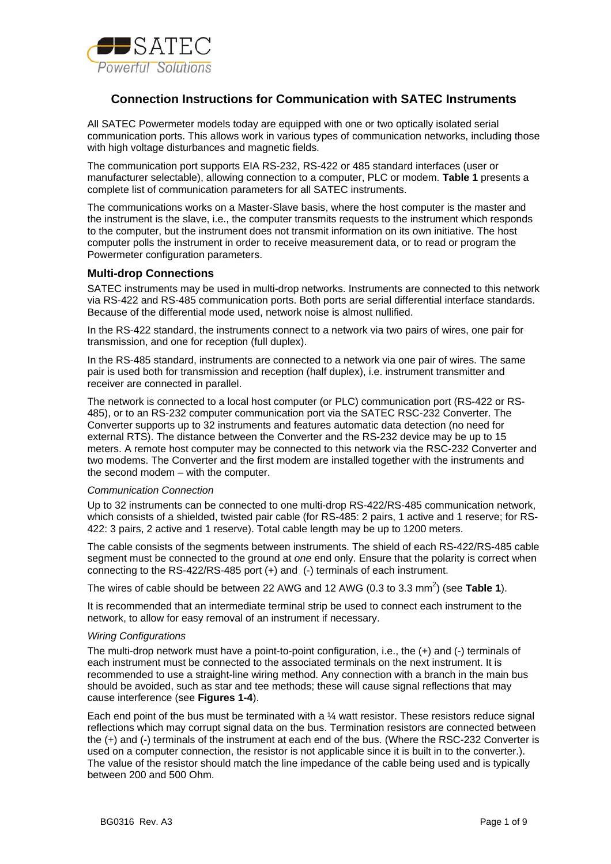

# **Connection Instructions for Communication with SATEC Instruments**

All SATEC Powermeter models today are equipped with one or two optically isolated serial communication ports. This allows work in various types of communication networks, including those with high voltage disturbances and magnetic fields.

The communication port supports EIA RS-232, RS-422 or 485 standard interfaces (user or manufacturer selectable), allowing connection to a computer, PLC or modem. **Table 1** presents a complete list of communication parameters for all SATEC instruments.

The communications works on a Master-Slave basis, where the host computer is the master and the instrument is the slave, i.e., the computer transmits requests to the instrument which responds to the computer, but the instrument does not transmit information on its own initiative. The host computer polls the instrument in order to receive measurement data, or to read or program the Powermeter configuration parameters.

### **Multi-drop Connections**

SATEC instruments may be used in multi-drop networks. Instruments are connected to this network via RS-422 and RS-485 communication ports. Both ports are serial differential interface standards. Because of the differential mode used, network noise is almost nullified.

In the RS-422 standard, the instruments connect to a network via two pairs of wires, one pair for transmission, and one for reception (full duplex).

In the RS-485 standard, instruments are connected to a network via one pair of wires. The same pair is used both for transmission and reception (half duplex), i.e. instrument transmitter and receiver are connected in parallel.

The network is connected to a local host computer (or PLC) communication port (RS-422 or RS-485), or to an RS-232 computer communication port via the SATEC RSC-232 Converter. The Converter supports up to 32 instruments and features automatic data detection (no need for external RTS). The distance between the Converter and the RS-232 device may be up to 15 meters. A remote host computer may be connected to this network via the RSC-232 Converter and two modems. The Converter and the first modem are installed together with the instruments and the second modem – with the computer.

### *Communication Connection*

Up to 32 instruments can be connected to one multi-drop RS-422/RS-485 communication network, which consists of a shielded, twisted pair cable (for RS-485: 2 pairs, 1 active and 1 reserve; for RS-422: 3 pairs, 2 active and 1 reserve). Total cable length may be up to 1200 meters.

The cable consists of the segments between instruments. The shield of each RS-422/RS-485 cable segment must be connected to the ground at *one* end only. Ensure that the polarity is correct when connecting to the RS-422/RS-485 port (+) and (-) terminals of each instrument.

The wires of cable should be between 22 AWG and 12 AWG (0.3 to 3.3 mm<sup>2</sup>) (see Table 1).

It is recommended that an intermediate terminal strip be used to connect each instrument to the network, to allow for easy removal of an instrument if necessary.

#### *Wiring Configurations*

The multi-drop network must have a point-to-point configuration, i.e., the (+) and (-) terminals of each instrument must be connected to the associated terminals on the next instrument. It is recommended to use a straight-line wiring method. Any connection with a branch in the main bus should be avoided, such as star and tee methods; these will cause signal reflections that may cause interference (see **Figures 1-4**).

Each end point of the bus must be terminated with a  $\frac{1}{4}$  watt resistor. These resistors reduce signal reflections which may corrupt signal data on the bus. Termination resistors are connected between the (+) and (-) terminals of the instrument at each end of the bus. (Where the RSC-232 Converter is used on a computer connection, the resistor is not applicable since it is built in to the converter.). The value of the resistor should match the line impedance of the cable being used and is typically between 200 and 500 Ohm.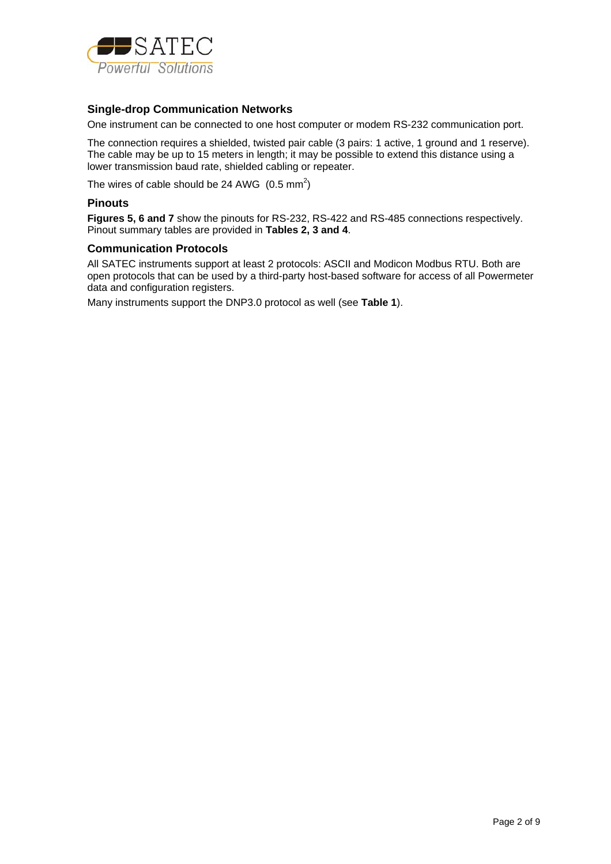

### **Single-drop Communication Networks**

One instrument can be connected to one host computer or modem RS-232 communication port.

The connection requires a shielded, twisted pair cable (3 pairs: 1 active, 1 ground and 1 reserve). The cable may be up to 15 meters in length; it may be possible to extend this distance using a lower transmission baud rate, shielded cabling or repeater.

The wires of cable should be 24 AWG  $(0.5 \text{ mm}^2)$ 

#### **Pinouts**

**Figures 5, 6 and 7** show the pinouts for RS-232, RS-422 and RS-485 connections respectively. Pinout summary tables are provided in **Tables 2, 3 and 4**.

### **Communication Protocols**

All SATEC instruments support at least 2 protocols: ASCII and Modicon Modbus RTU. Both are open protocols that can be used by a third-party host-based software for access of all Powermeter data and configuration registers.

Many instruments support the DNP3.0 protocol as well (see **Table 1**).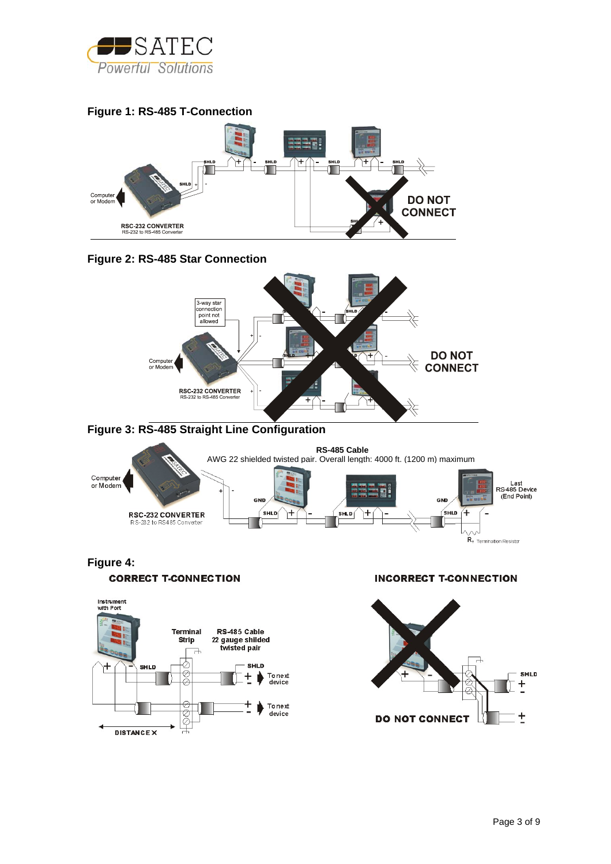









**Figure 3: RS-485 Straight Line Configuration** 



# **Figure 4: CORRECT T-CONNECTION**



**INCORRECT T-CONNECTION** 

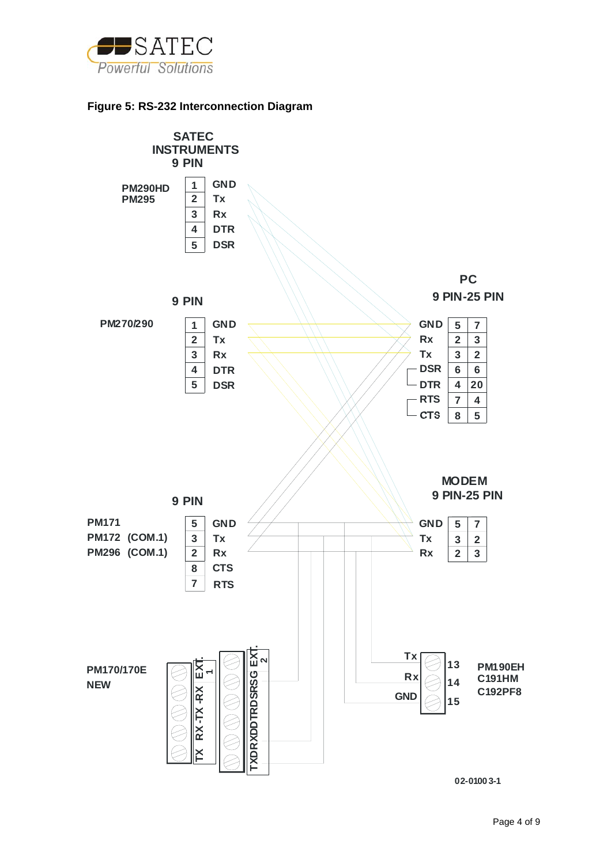

## **Figure 5: RS-232 Interconnection Diagram**

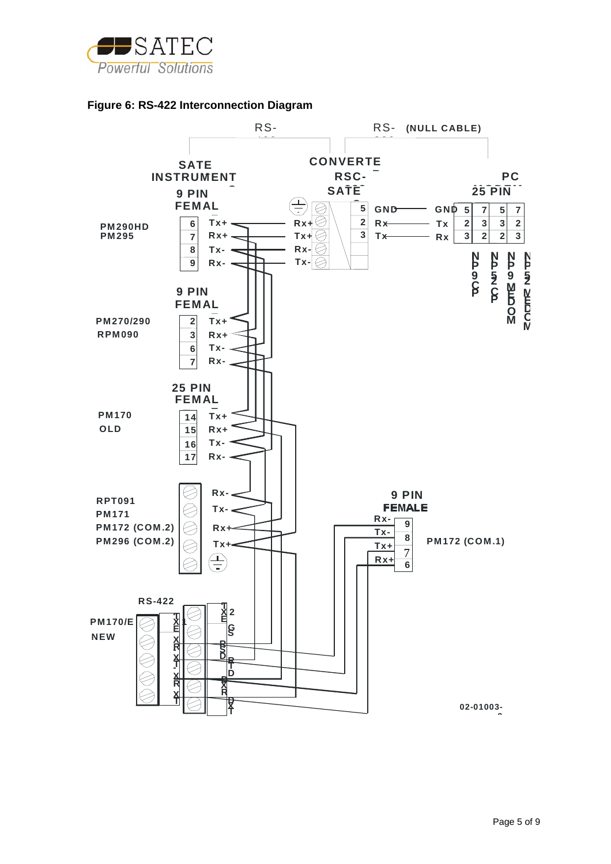



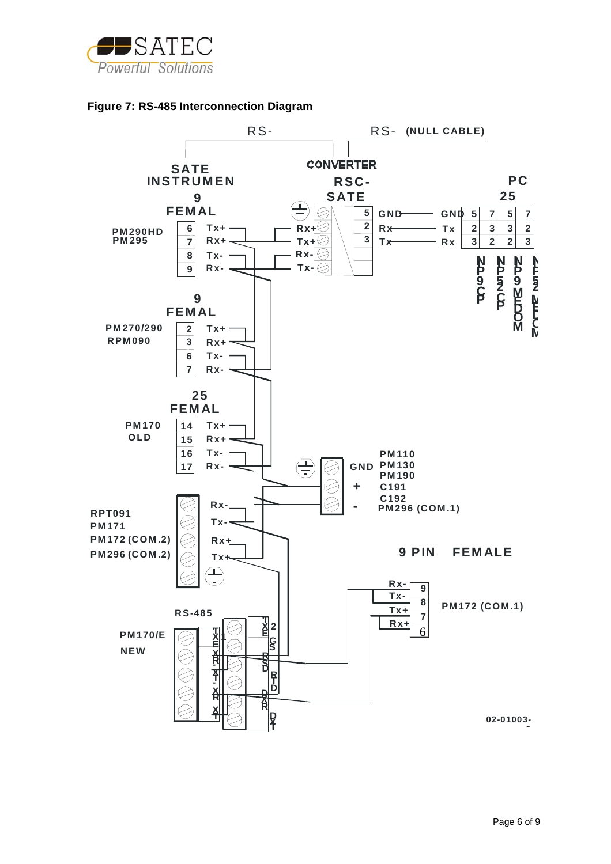

## **Figure 7: RS-485 Interconnection Diagram**

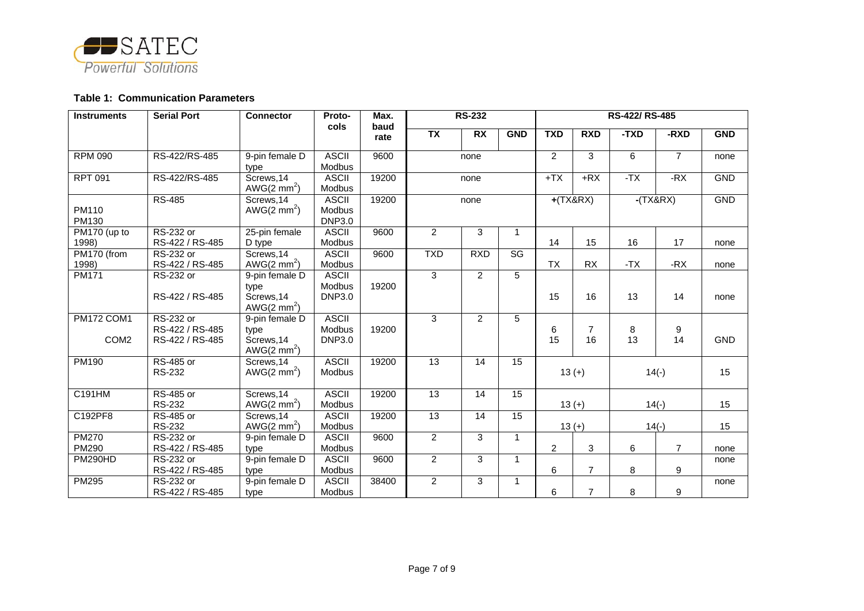

#### **Table 1: Communication Parameters**

| <b>Instruments</b>             | <b>Serial Port</b>                              | <b>Connector</b>                                               | Proto-<br>cols                          | Max.         | <b>RS-232</b>   |                 |                 | RS-422/RS-485  |                      |         |                |            |
|--------------------------------|-------------------------------------------------|----------------------------------------------------------------|-----------------------------------------|--------------|-----------------|-----------------|-----------------|----------------|----------------------|---------|----------------|------------|
|                                |                                                 |                                                                |                                         | baud<br>rate | $\overline{TX}$ | $\overline{RX}$ | <b>GND</b>      | <b>TXD</b>     | <b>RXD</b>           | -TXD    | -RXD           | <b>GND</b> |
| <b>RPM 090</b>                 | RS-422/RS-485                                   | 9-pin female D<br>type                                         | <b>ASCII</b><br>Modbus                  | 9600         |                 | none            |                 | 2              | 3                    | 6       | $\overline{7}$ | none       |
| <b>RPT 091</b>                 | RS-422/RS-485                                   | Screws, 14<br>AWG $(2 \text{ mm}^2)$                           | <b>ASCII</b><br>Modbus                  | 19200        |                 | none            |                 | $+TX$          | $+RX$                | $-TX$   | $-RX$          | <b>GND</b> |
| PM110<br>PM130                 | <b>RS-485</b>                                   | Screws, 14<br>AWG $(2 \text{ mm}^2)$                           | <b>ASCII</b><br>Modbus<br><b>DNP3.0</b> | 19200        | none            |                 | $+$ (TX&RX)     |                | $-TX&RX)$            |         | <b>GND</b>     |            |
| PM170 (up to<br>1998)          | <b>RS-232 or</b><br>RS-422 / RS-485             | 25-pin female<br>D type                                        | <b>ASCII</b><br>Modbus                  | 9600         | $\overline{2}$  | 3               | $\mathbf{1}$    | 14             | 15                   | 16      | 17             | none       |
| PM170 (from<br>1998)           | <b>RS-232 or</b><br>RS-422 / RS-485             | Screws, 14<br>AWG $(2 \text{ mm}^2)$                           | <b>ASCII</b><br>Modbus                  | 9600         | <b>TXD</b>      | <b>RXD</b>      | SG              | <b>TX</b>      | <b>RX</b>            | $-TX$   | $-RX$          | none       |
| <b>PM171</b>                   | RS-232 or<br>RS-422 / RS-485                    | 9-pin female D<br>type<br>Screws, 14<br>AWG $(2 \text{ mm}^2)$ | <b>ASCII</b><br>Modbus<br><b>DNP3.0</b> | 19200        | $\overline{3}$  | $\overline{2}$  | $\overline{5}$  | 15             | 16                   | 13      | 14             | none       |
| PM172 COM1<br>COM <sub>2</sub> | RS-232 or<br>RS-422 / RS-485<br>RS-422 / RS-485 | 9-pin female D<br>type<br>Screws, 14<br>$AWG(2 \text{ mm}^2)$  | <b>ASCII</b><br>Modbus<br><b>DNP3.0</b> | 19200        | $\overline{3}$  | $\overline{2}$  | 5               | 6<br>15        | $\overline{7}$<br>16 | 8<br>13 | 9<br>14        | <b>GND</b> |
| PM190                          | RS-485 or<br><b>RS-232</b>                      | Screws, 14<br>AWG(2 mm <sup>2</sup> )                          | <b>ASCII</b><br>Modbus                  | 19200        | $\overline{13}$ | 14              | 15              | $13 (+)$       |                      | $14(-)$ |                | 15         |
| C191HM                         | RS-485 or<br><b>RS-232</b>                      | Screws, 14<br>AWG(2 mm <sup>2</sup> )                          | <b>ASCII</b><br>Modbus                  | 19200        | $\overline{13}$ | $\overline{14}$ | $\overline{15}$ | $13 (+)$       |                      | $14(-)$ |                | 15         |
| C192PF8                        | <b>RS-485 or</b><br><b>RS-232</b>               | Screws, 14<br>AWG $(2 \text{ mm}^2)$                           | <b>ASCII</b><br>Modbus                  | 19200        | $\overline{13}$ | 14              | $\overline{15}$ | $13 (+)$       |                      | $14(-)$ |                | 15         |
| <b>PM270</b><br>PM290          | <b>RS-232 or</b><br>RS-422 / RS-485             | 9-pin female D<br>type                                         | <b>ASCII</b><br>Modbus                  | 9600         | $\overline{2}$  | 3               | $\mathbf{1}$    | $\overline{c}$ | 3                    | 6       | $\overline{7}$ | none       |
| <b>PM290HD</b>                 | RS-232 or<br>RS-422 / RS-485                    | 9-pin female D<br>type                                         | <b>ASCII</b><br>Modbus                  | 9600         | $\overline{2}$  | 3               | $\mathbf{1}$    | 6              | $\overline{7}$       | 8       | 9              | none       |
| <b>PM295</b>                   | RS-232 or<br>RS-422 / RS-485                    | 9-pin female D<br>type                                         | <b>ASCII</b><br>Modbus                  | 38400        | $\overline{2}$  | 3               | $\mathbf{1}$    | 6              | $\overline{7}$       | 8       | 9              | none       |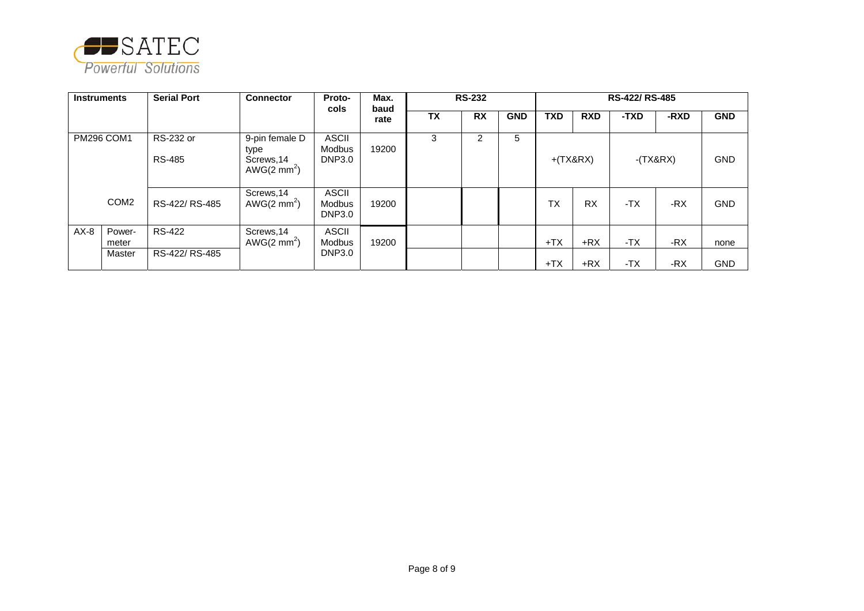

| <b>Instruments</b> |                           | <b>Serial Port</b>                | <b>Connector</b>                                               | Proto-<br>Max.<br>cols<br>baud          |       | <b>RS-232</b> |           | <b>RS-422/ RS-485</b> |            |            |       |            |            |
|--------------------|---------------------------|-----------------------------------|----------------------------------------------------------------|-----------------------------------------|-------|---------------|-----------|-----------------------|------------|------------|-------|------------|------------|
|                    |                           |                                   |                                                                |                                         | rate  | <b>TX</b>     | <b>RX</b> | <b>GND</b>            | <b>TXD</b> | <b>RXD</b> | -TXD  | -RXD       | <b>GND</b> |
|                    | <b>PM296 COM1</b>         | <b>RS-232 or</b><br><b>RS-485</b> | 9-pin female D<br>type<br>Screws, 14<br>AWG $(2 \text{ mm}^2)$ | <b>ASCII</b><br>Modbus<br><b>DNP3.0</b> | 19200 | 3             | 2         | 5                     |            | $+(TX&RX)$ |       | $-(TX&RX)$ | <b>GND</b> |
|                    | COM <sub>2</sub>          | RS-422/RS-485                     | Screws, 14<br>AWG $(2 \text{ mm}^2)$                           | <b>ASCII</b><br>Modbus<br><b>DNP3.0</b> | 19200 |               |           |                       | <b>TX</b>  | <b>RX</b>  | -TX   | $-RX$      | <b>GND</b> |
| $AX-8$             | Power-<br>meter<br>Master | <b>RS-422</b><br>RS-422/RS-485    | Screws, 14<br>AWG(2 mm <sup>2</sup> )                          | <b>ASCII</b><br>Modbus<br><b>DNP3.0</b> | 19200 |               |           |                       | $+TX$      | $+RX$      | $-TX$ | $-RX$      | none       |
|                    |                           |                                   |                                                                |                                         |       |               |           |                       | $+TX$      | $+RX$      | -TX   | -RX        | <b>GND</b> |